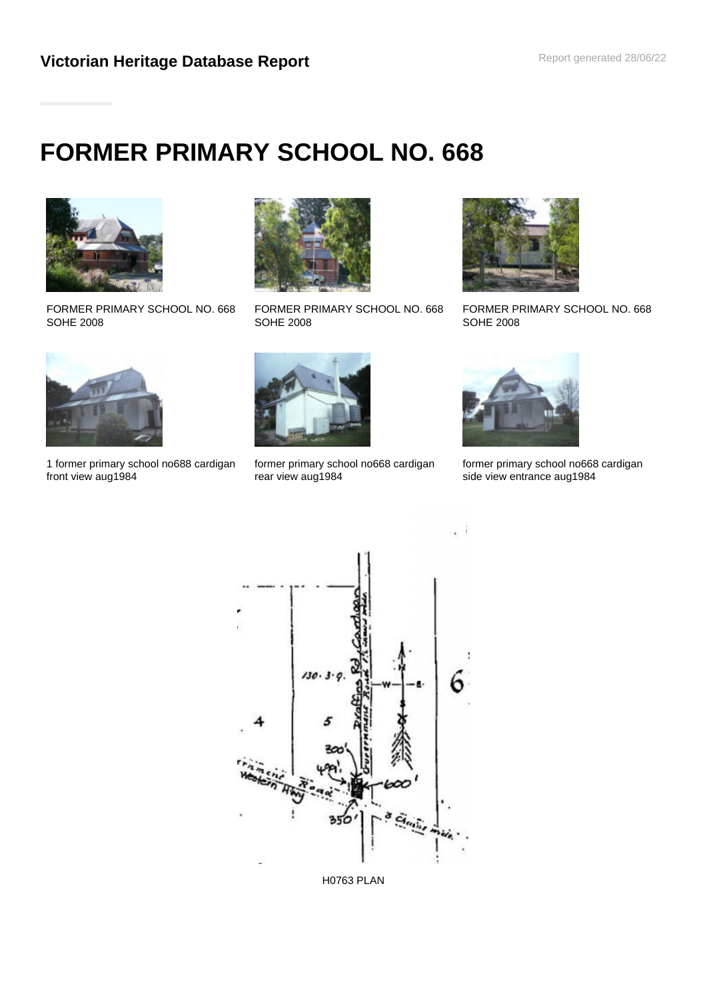# **FORMER PRIMARY SCHOOL NO. 668**



FORMER PRIMARY SCHOOL NO. 668 SOHE 2008



FORMER PRIMARY SCHOOL NO. 668 SOHE 2008



FORMER PRIMARY SCHOOL NO. 668 SOHE 2008



1 former primary school no688 cardigan front view aug1984



former primary school no668 cardigan rear view aug1984



-li í.

former primary school no668 cardigan side view entrance aug1984



H0763 PLAN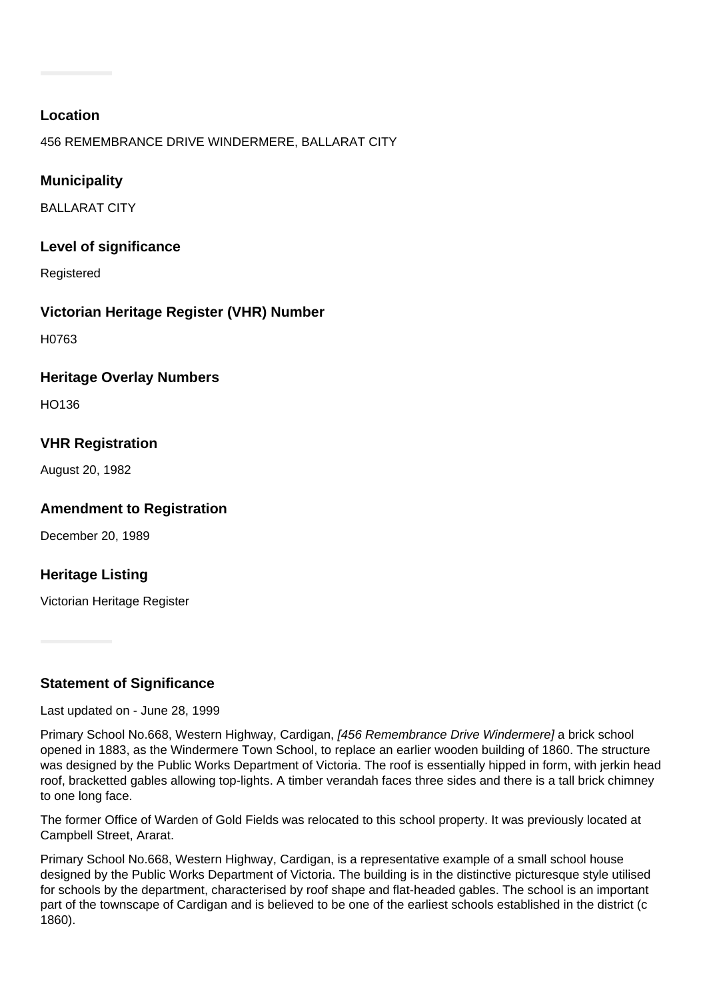#### **Location**

456 REMEMBRANCE DRIVE WINDERMERE, BALLARAT CITY

# **Municipality**

BALLARAT CITY

#### **Level of significance**

Registered

## **Victorian Heritage Register (VHR) Number**

H0763

#### **Heritage Overlay Numbers**

HO136

## **VHR Registration**

August 20, 1982

## **Amendment to Registration**

December 20, 1989

## **Heritage Listing**

Victorian Heritage Register

## **Statement of Significance**

Last updated on - June 28, 1999

Primary School No.668, Western Highway, Cardigan, [456 Remembrance Drive Windermere] a brick school opened in 1883, as the Windermere Town School, to replace an earlier wooden building of 1860. The structure was designed by the Public Works Department of Victoria. The roof is essentially hipped in form, with jerkin head roof, bracketted gables allowing top-lights. A timber verandah faces three sides and there is a tall brick chimney to one long face.

The former Office of Warden of Gold Fields was relocated to this school property. It was previously located at Campbell Street, Ararat.

Primary School No.668, Western Highway, Cardigan, is a representative example of a small school house designed by the Public Works Department of Victoria. The building is in the distinctive picturesque style utilised for schools by the department, characterised by roof shape and flat-headed gables. The school is an important part of the townscape of Cardigan and is believed to be one of the earliest schools established in the district (c 1860).